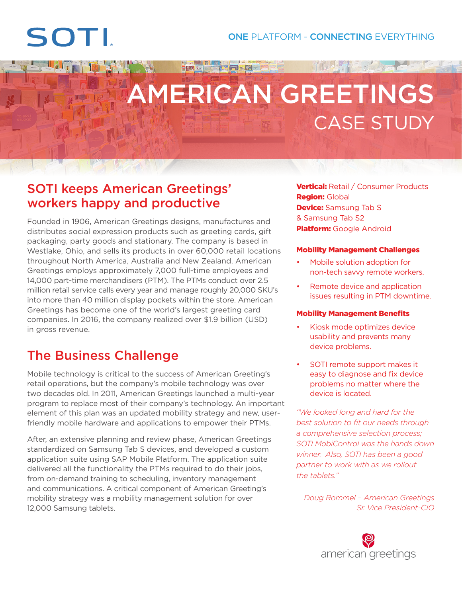# SOTI

<u>filmes f</u>

# AMERICAN GREETINGS CASE STUDY

Film Fa

重要机

## SOTI keeps American Greetings' workers happy and productive

Founded in 1906, American Greetings designs, manufactures and distributes social expression products such as greeting cards, gift packaging, party goods and stationary. The company is based in Westlake, Ohio, and sells its products in over 60,000 retail locations throughout North America, Australia and New Zealand. American Greetings employs approximately 7,000 full-time employees and 14,000 part-time merchandisers (PTM). The PTMs conduct over 2.5 million retail service calls every year and manage roughly 20,000 SKU's into more than 40 million display pockets within the store. American Greetings has become one of the world's largest greeting card companies. In 2016, the company realized over \$1.9 billion (USD) in gross revenue.

## The Business Challenge

Mobile technology is critical to the success of American Greeting's retail operations, but the company's mobile technology was over two decades old. In 2011, American Greetings launched a multi-year program to replace most of their company's technology. An important element of this plan was an updated mobility strategy and new, userfriendly mobile hardware and applications to empower their PTMs.

After, an extensive planning and review phase, American Greetings standardized on Samsung Tab S devices, and developed a custom application suite using SAP Mobile Platform. The application suite delivered all the functionality the PTMs required to do their jobs, from on-demand training to scheduling, inventory management and communications. A critical component of American Greeting's mobility strategy was a mobility management solution for over 12,000 Samsung tablets.

Vertical: Retail / Consumer Products **Region: Global Device:** Samsung Tab S & Samsung Tab S2 **Platform:** Google Android

#### Mobility Management Challenges

- Mobile solution adoption for non-tech savvy remote workers.
- Remote device and application issues resulting in PTM downtime.

#### Mobility Management Benefits

- Kiosk mode optimizes device usability and prevents many device problems.
- SOTI remote support makes it easy to diagnose and fix device problems no matter where the device is located.

*"We looked long and hard for the best solution to fit our needs through a comprehensive selection process; SOTI MobiControl was the hands down winner. Also, SOTI has been a good partner to work with as we rollout the tablets."*

*Doug Rommel – American Greetings Sr. Vice President-CIO*